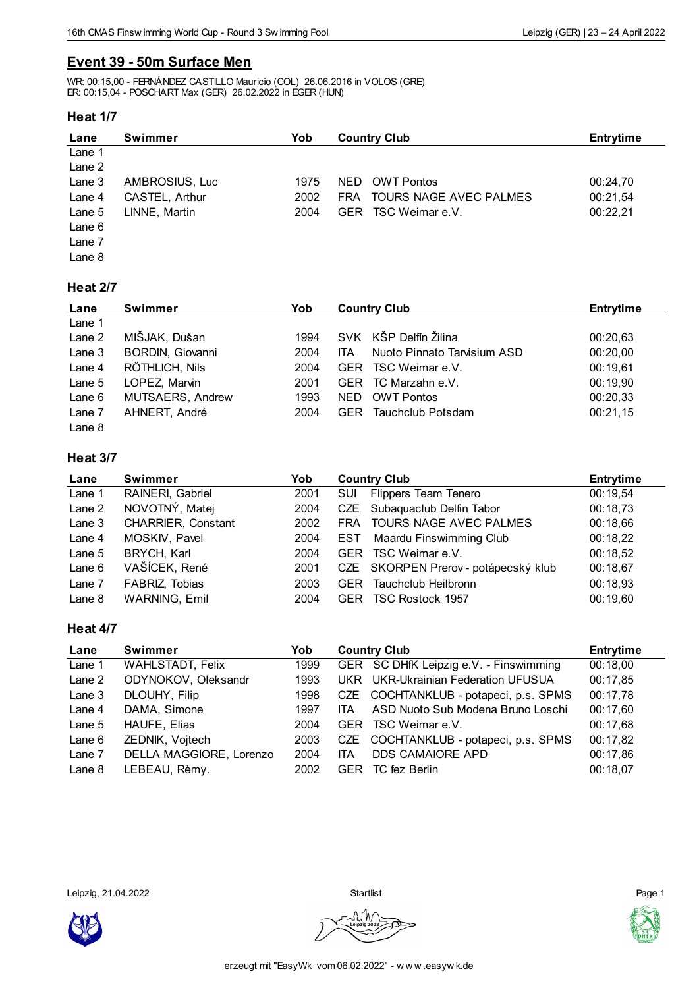# **Event 39 - 50m Surface Men**

WR: 00:15,00 - FERNÁNDEZ CASTILLO Mauricio (COL) 26.06.2016 in VOLOS (GRE) ER: 00:15,04 - POSCHART Max (GER) 26.02.2022 in EGER (HUN)

#### **Heat 1/7**

| Lane     | <b>Swimmer</b> | Yob  | <b>Country Club</b>                  | <b>Entrytime</b> |
|----------|----------------|------|--------------------------------------|------------------|
| Lane 1   |                |      |                                      |                  |
| Lane 2   |                |      |                                      |                  |
| Lane 3   | AMBROSIUS, Luc | 1975 | OWT Pontos<br>NED.                   | 00:24,70         |
| Lane 4   | CASTEL, Arthur | 2002 | TOURS NAGE AVEC PALMES<br><b>FRA</b> | 00:21,54         |
| Lane $5$ | LINNE, Martin  | 2004 | TSC Weimar e.V.<br>GER.              | 00:22,21         |
| Lane 6   |                |      |                                      |                  |
| Lane 7   |                |      |                                      |                  |
| Lane 8   |                |      |                                      |                  |

#### **Heat 2/7**

| Lane     | <b>Swimmer</b>          | Yob  | <b>Country Club</b>                | <b>Entrytime</b> |
|----------|-------------------------|------|------------------------------------|------------------|
| Lane 1   |                         |      |                                    |                  |
| Lane 2   | MIŠJAK, Dušan           | 1994 | SVK KŠP Delfín Žilina              | 00:20,63         |
| Lane 3   | <b>BORDIN, Giovanni</b> | 2004 | Nuoto Pinnato Tarvisium ASD<br>ITA | 00:20,00         |
| Lane 4   | RÖTHLICH, Nils          | 2004 | TSC Weimar e.V.<br><b>GER</b>      | 00:19.61         |
| Lane $5$ | LOPEZ. Marvin           | 2001 | GER TC Marzahn e.V.                | 00:19,90         |
| Lane 6   | MUTSAERS, Andrew        | 1993 | NED.<br><b>OWT Pontos</b>          | 00:20,33         |
| Lane 7   | AHNERT, André           | 2004 | Tauchclub Potsdam<br>GER.          | 00:21,15         |
| Lane 8   |                         |      |                                    |                  |

## **Heat 3/7**

| Lane     | <b>Swimmer</b>            | Yob  | <b>Country Club</b>                       | <b>Entrytime</b> |
|----------|---------------------------|------|-------------------------------------------|------------------|
| Lane 1   | RAINERI, Gabriel          | 2001 | <b>Flippers Team Tenero</b><br><b>SUI</b> | 00:19,54         |
| Lane 2   | NOVOTNÝ, Matej            | 2004 | CZE Subaquaclub Delfin Tabor              | 00:18,73         |
| Lane $3$ | <b>CHARRIER, Constant</b> | 2002 | FRA TOURS NAGE AVEC PALMES                | 00:18,66         |
| Lane 4   | MOSKIV, Pavel             | 2004 | Maardu Finswimming Club<br><b>EST</b>     | 00:18,22         |
| Lane 5   | BRYCH, Karl               | 2004 | GER TSC Weimar e.V.                       | 00:18,52         |
| Lane $6$ | VAŠÍCEK, René             | 2001 | CZE SKORPEN Prerov - potápecský klub      | 00:18,67         |
| Lane 7   | FABRIZ, Tobias            | 2003 | Tauchclub Heilbronn<br><b>GER</b>         | 00:18,93         |
| Lane 8   | <b>WARNING, Emil</b>      | 2004 | TSC Rostock 1957<br><b>GER</b>            | 00:19,60         |

#### **Heat 4/7**

| Lane     | Swimmer                 | Yob  | <b>Country Club</b> |                                        | <b>Entrytime</b> |
|----------|-------------------------|------|---------------------|----------------------------------------|------------------|
| Lane 1   | <b>WAHLSTADT, Felix</b> | 1999 |                     | GER SC DHfK Leipzig e.V. - Finswimming | 00:18,00         |
| Lane 2   | ODYNOKOV, Oleksandr     | 1993 |                     | UKR UKR-Ukrainian Federation UFUSUA    | 00:17,85         |
| Lane 3   | DLOUHY, Filip           | 1998 |                     | CZE COCHTANKLUB - potapeci, p.s. SPMS  | 00:17,78         |
| Lane 4   | DAMA, Simone            | 1997 | <b>ITA</b>          | ASD Nuoto Sub Modena Bruno Loschi      | 00:17,60         |
| Lane 5   | <b>HAUFE, Elias</b>     | 2004 |                     | GER TSC Weimar e.V.                    | 00:17.68         |
| Lane $6$ | ZEDNIK, Vojtech         | 2003 |                     | CZE COCHTANKLUB - potapeci, p.s. SPMS  | 00:17,82         |
| Lane 7   | DELLA MAGGIORE, Lorenzo | 2004 | <b>ITA</b>          | DDS CAMAIORE APD                       | 00:17,86         |
| Lane $8$ | LEBEAU, Rèmy.           | 2002 | <b>GER</b>          | TC fez Berlin                          | 00:18,07         |

Leipzig, 21.04.2022 Startlist Page 1